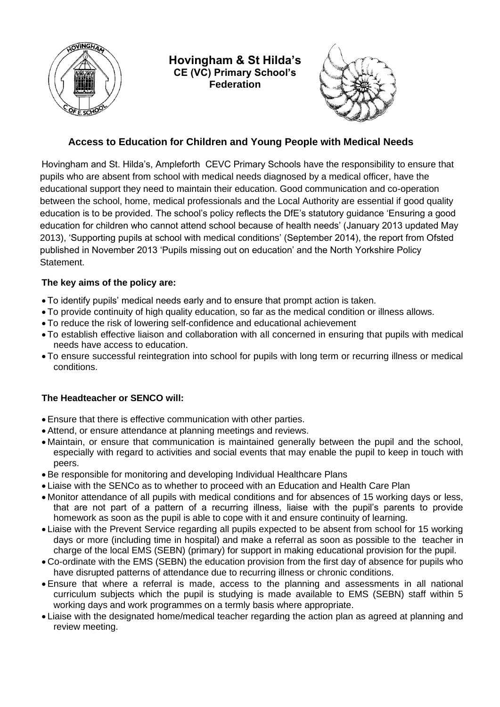

**Hovingham & St Hilda's CE (VC) Primary School's Federation**



# **Access to Education for Children and Young People with Medical Needs**

Hovingham and St. Hilda's, Ampleforth CEVC Primary Schools have the responsibility to ensure that pupils who are absent from school with medical needs diagnosed by a medical officer, have the educational support they need to maintain their education. Good communication and co-operation between the school, home, medical professionals and the Local Authority are essential if good quality education is to be provided. The school's policy reflects the DfE's statutory guidance 'Ensuring a good education for children who cannot attend school because of health needs' (January 2013 updated May 2013), 'Supporting pupils at school with medical conditions' (September 2014), the report from Ofsted published in November 2013 'Pupils missing out on education' and the North Yorkshire Policy Statement.

# **The key aims of the policy are:**

- To identify pupils' medical needs early and to ensure that prompt action is taken.
- To provide continuity of high quality education, so far as the medical condition or illness allows.
- To reduce the risk of lowering self-confidence and educational achievement
- To establish effective liaison and collaboration with all concerned in ensuring that pupils with medical needs have access to education.
- To ensure successful reintegration into school for pupils with long term or recurring illness or medical conditions.

## **The Headteacher or SENCO will:**

- Ensure that there is effective communication with other parties.
- Attend, or ensure attendance at planning meetings and reviews.
- Maintain, or ensure that communication is maintained generally between the pupil and the school, especially with regard to activities and social events that may enable the pupil to keep in touch with peers.
- Be responsible for monitoring and developing Individual Healthcare Plans
- Liaise with the SENCo as to whether to proceed with an Education and Health Care Plan
- Monitor attendance of all pupils with medical conditions and for absences of 15 working days or less, that are not part of a pattern of a recurring illness, liaise with the pupil's parents to provide homework as soon as the pupil is able to cope with it and ensure continuity of learning.
- Liaise with the Prevent Service regarding all pupils expected to be absent from school for 15 working days or more (including time in hospital) and make a referral as soon as possible to the teacher in charge of the local EMS (SEBN) (primary) for support in making educational provision for the pupil.
- Co-ordinate with the EMS (SEBN) the education provision from the first day of absence for pupils who have disrupted patterns of attendance due to recurring illness or chronic conditions.
- Ensure that where a referral is made, access to the planning and assessments in all national curriculum subjects which the pupil is studying is made available to EMS (SEBN) staff within 5 working days and work programmes on a termly basis where appropriate.
- Liaise with the designated home/medical teacher regarding the action plan as agreed at planning and review meeting.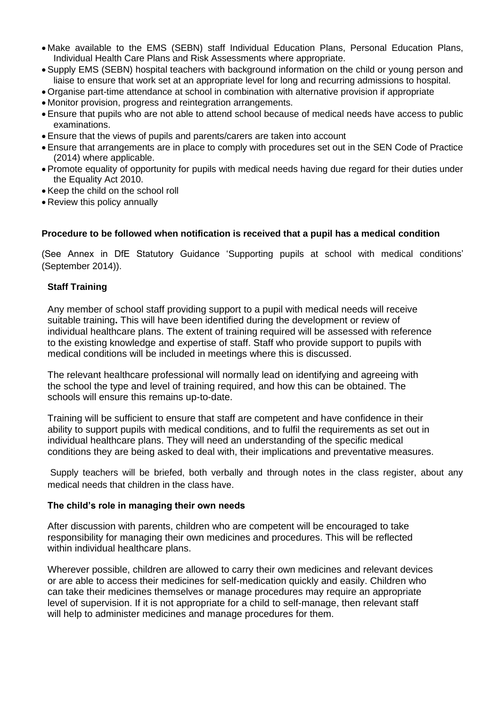- Make available to the EMS (SEBN) staff Individual Education Plans, Personal Education Plans, Individual Health Care Plans and Risk Assessments where appropriate.
- Supply EMS (SEBN) hospital teachers with background information on the child or young person and liaise to ensure that work set at an appropriate level for long and recurring admissions to hospital.
- Organise part-time attendance at school in combination with alternative provision if appropriate
- Monitor provision, progress and reintegration arrangements.
- Ensure that pupils who are not able to attend school because of medical needs have access to public examinations.
- Ensure that the views of pupils and parents/carers are taken into account
- Ensure that arrangements are in place to comply with procedures set out in the SEN Code of Practice (2014) where applicable.
- Promote equality of opportunity for pupils with medical needs having due regard for their duties under the Equality Act 2010.
- Keep the child on the school roll
- Review this policy annually

#### **Procedure to be followed when notification is received that a pupil has a medical condition**

(See Annex in DfE Statutory Guidance 'Supporting pupils at school with medical conditions' (September 2014)).

#### **Staff Training**

Any member of school staff providing support to a pupil with medical needs will receive suitable training**.** This will have been identified during the development or review of individual healthcare plans. The extent of training required will be assessed with reference to the existing knowledge and expertise of staff. Staff who provide support to pupils with medical conditions will be included in meetings where this is discussed.

The relevant healthcare professional will normally lead on identifying and agreeing with the school the type and level of training required, and how this can be obtained. The schools will ensure this remains up-to-date.

Training will be sufficient to ensure that staff are competent and have confidence in their ability to support pupils with medical conditions, and to fulfil the requirements as set out in individual healthcare plans. They will need an understanding of the specific medical conditions they are being asked to deal with, their implications and preventative measures.

Supply teachers will be briefed, both verbally and through notes in the class register, about any medical needs that children in the class have.

#### **The child's role in managing their own needs**

After discussion with parents, children who are competent will be encouraged to take responsibility for managing their own medicines and procedures. This will be reflected within individual healthcare plans.

Wherever possible, children are allowed to carry their own medicines and relevant devices or are able to access their medicines for self-medication quickly and easily. Children who can take their medicines themselves or manage procedures may require an appropriate level of supervision. If it is not appropriate for a child to self-manage, then relevant staff will help to administer medicines and manage procedures for them.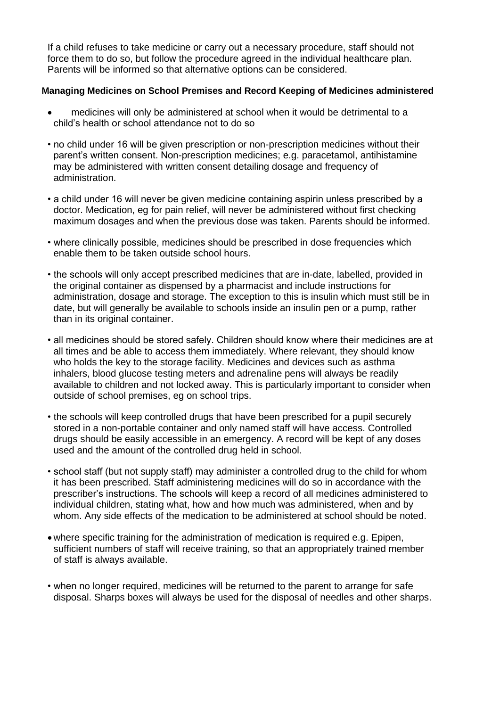If a child refuses to take medicine or carry out a necessary procedure, staff should not force them to do so, but follow the procedure agreed in the individual healthcare plan. Parents will be informed so that alternative options can be considered.

### **Managing Medicines on School Premises and Record Keeping of Medicines administered**

- medicines will only be administered at school when it would be detrimental to a child's health or school attendance not to do so
- no child under 16 will be given prescription or non-prescription medicines without their parent's written consent. Non-prescription medicines; e.g. paracetamol, antihistamine may be administered with written consent detailing dosage and frequency of administration.
- a child under 16 will never be given medicine containing aspirin unless prescribed by a doctor. Medication, eg for pain relief, will never be administered without first checking maximum dosages and when the previous dose was taken. Parents should be informed.
- where clinically possible, medicines should be prescribed in dose frequencies which enable them to be taken outside school hours.
- the schools will only accept prescribed medicines that are in-date, labelled, provided in the original container as dispensed by a pharmacist and include instructions for administration, dosage and storage. The exception to this is insulin which must still be in date, but will generally be available to schools inside an insulin pen or a pump, rather than in its original container.
- all medicines should be stored safely. Children should know where their medicines are at all times and be able to access them immediately. Where relevant, they should know who holds the key to the storage facility. Medicines and devices such as asthma inhalers, blood glucose testing meters and adrenaline pens will always be readily available to children and not locked away. This is particularly important to consider when outside of school premises, eg on school trips.
- the schools will keep controlled drugs that have been prescribed for a pupil securely stored in a non-portable container and only named staff will have access. Controlled drugs should be easily accessible in an emergency. A record will be kept of any doses used and the amount of the controlled drug held in school.
- school staff (but not supply staff) may administer a controlled drug to the child for whom it has been prescribed. Staff administering medicines will do so in accordance with the prescriber's instructions. The schools will keep a record of all medicines administered to individual children, stating what, how and how much was administered, when and by whom. Any side effects of the medication to be administered at school should be noted.
- where specific training for the administration of medication is required e.g. Epipen, sufficient numbers of staff will receive training, so that an appropriately trained member of staff is always available.
- when no longer required, medicines will be returned to the parent to arrange for safe disposal. Sharps boxes will always be used for the disposal of needles and other sharps.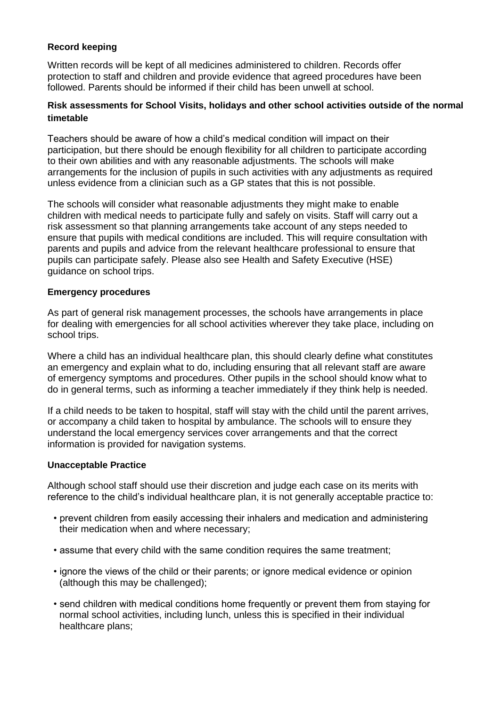## **Record keeping**

Written records will be kept of all medicines administered to children. Records offer protection to staff and children and provide evidence that agreed procedures have been followed. Parents should be informed if their child has been unwell at school.

### **Risk assessments for School Visits, holidays and other school activities outside of the normal timetable**

Teachers should be aware of how a child's medical condition will impact on their participation, but there should be enough flexibility for all children to participate according to their own abilities and with any reasonable adjustments. The schools will make arrangements for the inclusion of pupils in such activities with any adjustments as required unless evidence from a clinician such as a GP states that this is not possible.

The schools will consider what reasonable adjustments they might make to enable children with medical needs to participate fully and safely on visits. Staff will carry out a risk assessment so that planning arrangements take account of any steps needed to ensure that pupils with medical conditions are included. This will require consultation with parents and pupils and advice from the relevant healthcare professional to ensure that pupils can participate safely. Please also see Health and Safety Executive (HSE) guidance on school trips.

### **Emergency procedures**

As part of general risk management processes, the schools have arrangements in place for dealing with emergencies for all school activities wherever they take place, including on school trips.

Where a child has an individual healthcare plan, this should clearly define what constitutes an emergency and explain what to do, including ensuring that all relevant staff are aware of emergency symptoms and procedures. Other pupils in the school should know what to do in general terms, such as informing a teacher immediately if they think help is needed.

If a child needs to be taken to hospital, staff will stay with the child until the parent arrives, or accompany a child taken to hospital by ambulance. The schools will to ensure they understand the local emergency services cover arrangements and that the correct information is provided for navigation systems.

### **Unacceptable Practice**

Although school staff should use their discretion and judge each case on its merits with reference to the child's individual healthcare plan, it is not generally acceptable practice to:

- prevent children from easily accessing their inhalers and medication and administering their medication when and where necessary;
- assume that every child with the same condition requires the same treatment;
- ignore the views of the child or their parents; or ignore medical evidence or opinion (although this may be challenged);
- send children with medical conditions home frequently or prevent them from staying for normal school activities, including lunch, unless this is specified in their individual healthcare plans;